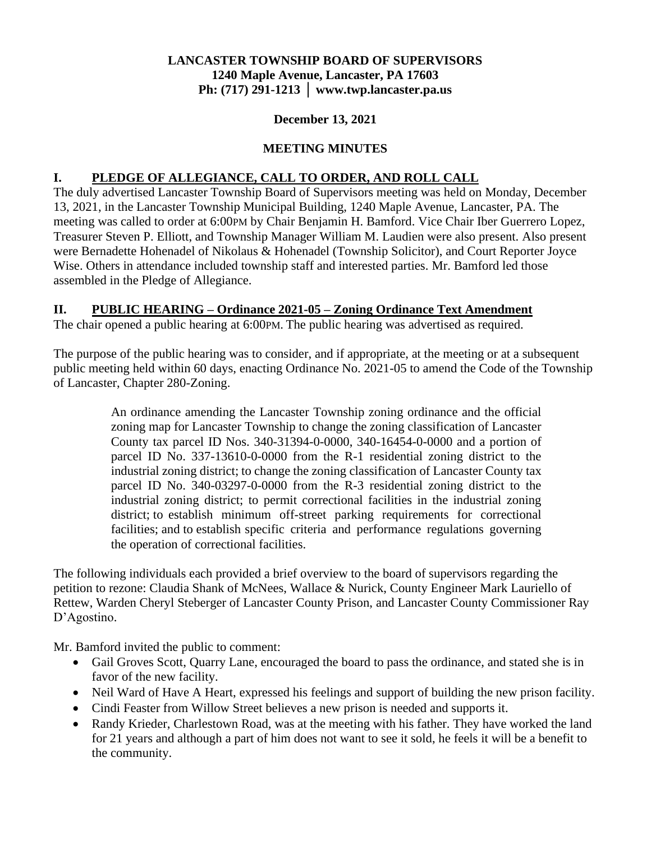# **LANCASTER TOWNSHIP BOARD OF SUPERVISORS 1240 Maple Avenue, Lancaster, PA 17603 Ph: (717) 291-1213 │ www.twp.lancaster.pa.us**

#### **December 13, 2021**

# **MEETING MINUTES**

## **I. PLEDGE OF ALLEGIANCE, CALL TO ORDER, AND ROLL CALL**

The duly advertised Lancaster Township Board of Supervisors meeting was held on Monday, December 13, 2021, in the Lancaster Township Municipal Building, 1240 Maple Avenue, Lancaster, PA. The meeting was called to order at 6:00PM by Chair Benjamin H. Bamford. Vice Chair Iber Guerrero Lopez, Treasurer Steven P. Elliott, and Township Manager William M. Laudien were also present. Also present were Bernadette Hohenadel of Nikolaus & Hohenadel (Township Solicitor), and Court Reporter Joyce Wise. Others in attendance included township staff and interested parties. Mr. Bamford led those assembled in the Pledge of Allegiance.

#### **II. PUBLIC HEARING – Ordinance 2021-05 – Zoning Ordinance Text Amendment**

The chair opened a public hearing at 6:00PM. The public hearing was advertised as required.

The purpose of the public hearing was to consider, and if appropriate, at the meeting or at a subsequent public meeting held within 60 days, enacting Ordinance No. 2021-05 to amend the Code of the Township of Lancaster, Chapter 280-Zoning.

> An ordinance amending the Lancaster Township zoning ordinance and the official zoning map for Lancaster Township to change the zoning classification of Lancaster County tax parcel ID Nos. 340-31394-0-0000, 340-16454-0-0000 and a portion of parcel ID No. 337-13610-0-0000 from the R-1 residential zoning district to the industrial zoning district; to change the zoning classification of Lancaster County tax parcel ID No. 340-03297-0-0000 from the R-3 residential zoning district to the industrial zoning district; to permit correctional facilities in the industrial zoning district; to establish minimum off-street parking requirements for correctional facilities; and to establish specific criteria and performance regulations governing the operation of correctional facilities.

The following individuals each provided a brief overview to the board of supervisors regarding the petition to rezone: Claudia Shank of McNees, Wallace & Nurick, County Engineer Mark Lauriello of Rettew, Warden Cheryl Steberger of Lancaster County Prison, and Lancaster County Commissioner Ray D'Agostino.

Mr. Bamford invited the public to comment:

- Gail Groves Scott, Quarry Lane, encouraged the board to pass the ordinance, and stated she is in favor of the new facility.
- Neil Ward of Have A Heart, expressed his feelings and support of building the new prison facility.
- Cindi Feaster from Willow Street believes a new prison is needed and supports it.
- Randy Krieder, Charlestown Road, was at the meeting with his father. They have worked the land for 21 years and although a part of him does not want to see it sold, he feels it will be a benefit to the community.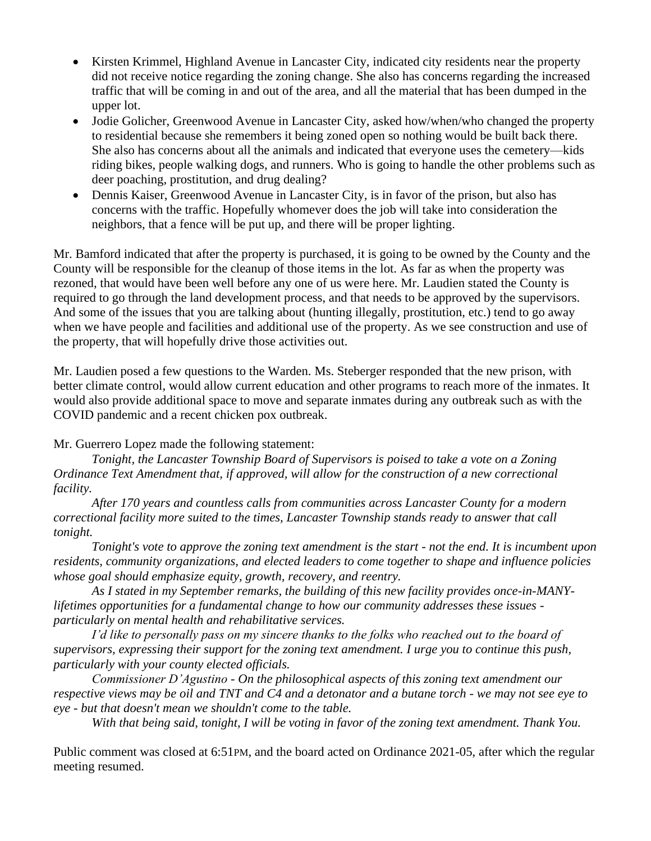- Kirsten Krimmel, Highland Avenue in Lancaster City, indicated city residents near the property did not receive notice regarding the zoning change. She also has concerns regarding the increased traffic that will be coming in and out of the area, and all the material that has been dumped in the upper lot.
- Jodie Golicher, Greenwood Avenue in Lancaster City, asked how/when/who changed the property to residential because she remembers it being zoned open so nothing would be built back there. She also has concerns about all the animals and indicated that everyone uses the cemetery—kids riding bikes, people walking dogs, and runners. Who is going to handle the other problems such as deer poaching, prostitution, and drug dealing?
- Dennis Kaiser, Greenwood Avenue in Lancaster City, is in favor of the prison, but also has concerns with the traffic. Hopefully whomever does the job will take into consideration the neighbors, that a fence will be put up, and there will be proper lighting.

Mr. Bamford indicated that after the property is purchased, it is going to be owned by the County and the County will be responsible for the cleanup of those items in the lot. As far as when the property was rezoned, that would have been well before any one of us were here. Mr. Laudien stated the County is required to go through the land development process, and that needs to be approved by the supervisors. And some of the issues that you are talking about (hunting illegally, prostitution, etc.) tend to go away when we have people and facilities and additional use of the property. As we see construction and use of the property, that will hopefully drive those activities out.

Mr. Laudien posed a few questions to the Warden. Ms. Steberger responded that the new prison, with better climate control, would allow current education and other programs to reach more of the inmates. It would also provide additional space to move and separate inmates during any outbreak such as with the COVID pandemic and a recent chicken pox outbreak.

Mr. Guerrero Lopez made the following statement:

*Tonight, the Lancaster Township Board of Supervisors is poised to take a vote on a Zoning Ordinance Text Amendment that, if approved, will allow for the construction of a new correctional facility.*

*After 170 years and countless calls from communities across Lancaster County for a modern correctional facility more suited to the times, Lancaster Township stands ready to answer that call tonight.*

*Tonight's vote to approve the zoning text amendment is the start - not the end. It is incumbent upon residents, community organizations, and elected leaders to come together to shape and influence policies whose goal should emphasize equity, growth, recovery, and reentry.*

*As I stated in my September remarks, the building of this new facility provides once-in-MANYlifetimes opportunities for a fundamental change to how our community addresses these issues particularly on mental health and rehabilitative services.*

*I'd like to personally pass on my sincere thanks to the folks who reached out to the board of supervisors, expressing their support for the zoning text amendment. I urge you to continue this push, particularly with your county elected officials.*

*Commissioner D'Agustino - On the philosophical aspects of this zoning text amendment our respective views may be oil and TNT and C4 and a detonator and a butane torch - we may not see eye to eye - but that doesn't mean we shouldn't come to the table.*

*With that being said, tonight, I will be voting in favor of the zoning text amendment. Thank You.*

Public comment was closed at 6:51PM, and the board acted on Ordinance 2021-05, after which the regular meeting resumed.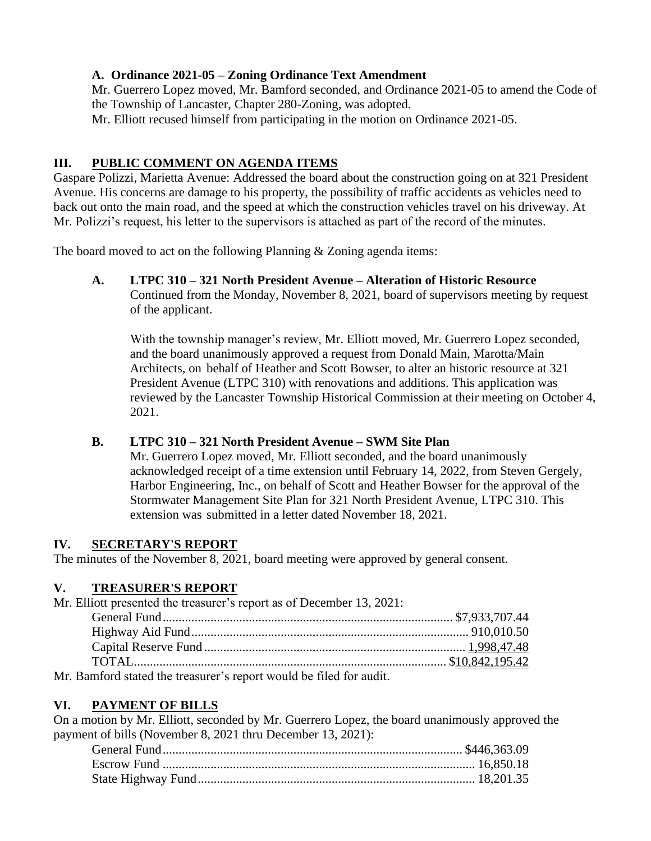#### **A. Ordinance 2021-05 – Zoning Ordinance Text Amendment**

Mr. Guerrero Lopez moved, Mr. Bamford seconded, and Ordinance 2021-05 to amend the Code of the Township of Lancaster, Chapter 280-Zoning, was adopted.

Mr. Elliott recused himself from participating in the motion on Ordinance 2021-05.

# **III. PUBLIC COMMENT ON AGENDA ITEMS**

Gaspare Polizzi, Marietta Avenue: Addressed the board about the construction going on at 321 President Avenue. His concerns are damage to his property, the possibility of traffic accidents as vehicles need to back out onto the main road, and the speed at which the construction vehicles travel on his driveway. At Mr. Polizzi's request, his letter to the supervisors is attached as part of the record of the minutes.

The board moved to act on the following Planning & Zoning agenda items:

#### **A. LTPC 310 – 321 North President Avenue – Alteration of Historic Resource**

Continued from the Monday, November 8, 2021, board of supervisors meeting by request of the applicant.

With the township manager's review, Mr. Elliott moved, Mr. Guerrero Lopez seconded, and the board unanimously approved a request from Donald Main, Marotta/Main Architects, on behalf of Heather and Scott Bowser, to alter an historic resource at 321 President Avenue (LTPC 310) with renovations and additions. This application was reviewed by the Lancaster Township Historical Commission at their meeting on October 4, 2021.

# **B. LTPC 310 – 321 North President Avenue – SWM Site Plan**

Mr. Guerrero Lopez moved, Mr. Elliott seconded, and the board unanimously acknowledged receipt of a time extension until February 14, 2022, from Steven Gergely, Harbor Engineering, Inc., on behalf of Scott and Heather Bowser for the approval of the Stormwater Management Site Plan for 321 North President Avenue, LTPC 310. This extension was submitted in a letter dated November 18, 2021.

#### **IV. SECRETARY'S REPORT**

The minutes of the November 8, 2021, board meeting were approved by general consent.

# **V. TREASURER'S REPORT**

Mr. Elliott presented the treasurer's report as of December 13, 2021: General Fund........................................................................................... \$7,933,707.44 Highway Aid Fund....................................................................................... 910,010.50 Capital Reserve Fund .................................................................................. 1,998,47.48 TOTAL.................................................................................................. \$10,842,195.42

Mr. Bamford stated the treasurer's report would be filed for audit.

# **VI. PAYMENT OF BILLS**

On a motion by Mr. Elliott, seconded by Mr. Guerrero Lopez, the board unanimously approved the payment of bills (November 8, 2021 thru December 13, 2021):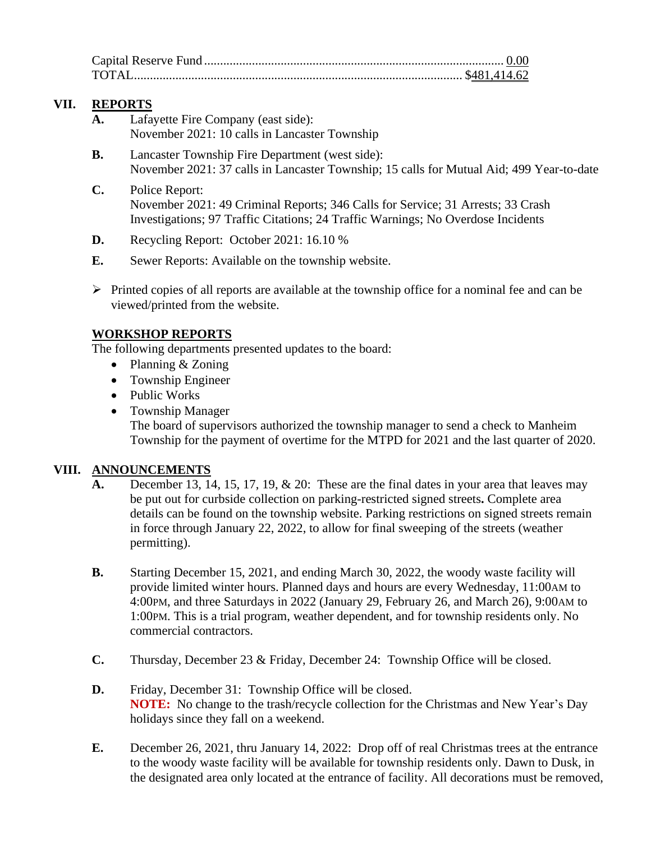# **VII. REPORTS**

- **A.** Lafayette Fire Company (east side): November 2021: 10 calls in Lancaster Township
- **B.** Lancaster Township Fire Department (west side): November 2021: 37 calls in Lancaster Township; 15 calls for Mutual Aid; 499 Year-to-date
- **C.** Police Report: November 2021: 49 Criminal Reports; 346 Calls for Service; 31 Arrests; 33 Crash Investigations; 97 Traffic Citations; 24 Traffic Warnings; No Overdose Incidents
- **D.** Recycling Report: October 2021: 16.10 %
- **E.** Sewer Reports: Available on the township website.
- $\triangleright$  Printed copies of all reports are available at the township office for a nominal fee and can be viewed/printed from the website.

#### **WORKSHOP REPORTS**

The following departments presented updates to the board:

- Planning & Zoning
- Township Engineer
- Public Works
- Township Manager The board of supervisors authorized the township manager to send a check to Manheim Township for the payment of overtime for the MTPD for 2021 and the last quarter of 2020.

# **VIII. ANNOUNCEMENTS**

- **A.** December 13, 14, 15, 17, 19, & 20: These are the final dates in your area that leaves may be put out for curbside collection on parking-restricted signed streets**.** Complete area details can be found on the township website. Parking restrictions on signed streets remain in force through January 22, 2022, to allow for final sweeping of the streets (weather permitting).
- **B.** Starting December 15, 2021, and ending March 30, 2022, the woody waste facility will provide limited winter hours. Planned days and hours are every Wednesday, 11:00AM to 4:00PM, and three Saturdays in 2022 (January 29, February 26, and March 26), 9:00AM to 1:00PM. This is a trial program, weather dependent, and for township residents only. No commercial contractors.
- **C.** Thursday, December 23 & Friday, December 24: Township Office will be closed.
- **D.** Friday, December 31: Township Office will be closed. **NOTE:** No change to the trash/recycle collection for the Christmas and New Year's Day holidays since they fall on a weekend.
- **E.** December 26, 2021, thru January 14, 2022: Drop off of real Christmas trees at the entrance to the woody waste facility will be available for township residents only. Dawn to Dusk, in the designated area only located at the entrance of facility. All decorations must be removed,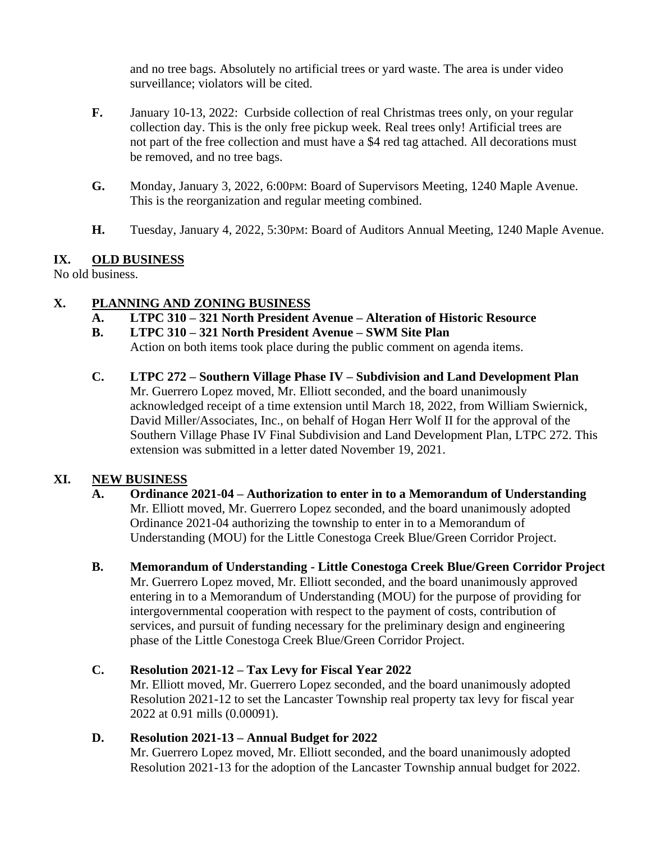and no tree bags. Absolutely no artificial trees or yard waste. The area is under video surveillance; violators will be cited.

- **F.** January 10-13, 2022: Curbside collection of real Christmas trees only, on your regular collection day. This is the only free pickup week*.* Real trees only! Artificial trees are not part of the free collection and must have a \$4 red tag attached. All decorations must be removed, and no tree bags.
- **G.** Monday, January 3, 2022, 6:00PM: Board of Supervisors Meeting, 1240 Maple Avenue. This is the reorganization and regular meeting combined.
- **H.** Tuesday, January 4, 2022, 5:30PM: Board of Auditors Annual Meeting, 1240 Maple Avenue.

#### **IX. OLD BUSINESS**

No old business.

#### **X. PLANNING AND ZONING BUSINESS**

- **A. LTPC 310 – 321 North President Avenue – Alteration of Historic Resource**
- **B. LTPC 310 – 321 North President Avenue – SWM Site Plan** Action on both items took place during the public comment on agenda items.
- **C. LTPC 272 – Southern Village Phase IV – Subdivision and Land Development Plan** Mr. Guerrero Lopez moved, Mr. Elliott seconded, and the board unanimously acknowledged receipt of a time extension until March 18, 2022, from William Swiernick, David Miller/Associates, Inc., on behalf of Hogan Herr Wolf II for the approval of the Southern Village Phase IV Final Subdivision and Land Development Plan, LTPC 272. This extension was submitted in a letter dated November 19, 2021.

# **XI. NEW BUSINESS**

- **A. Ordinance 2021-04 – Authorization to enter in to a Memorandum of Understanding** Mr. Elliott moved, Mr. Guerrero Lopez seconded, and the board unanimously adopted Ordinance 2021-04 authorizing the township to enter in to a Memorandum of Understanding (MOU) for the Little Conestoga Creek Blue/Green Corridor Project.
- **B. Memorandum of Understanding - Little Conestoga Creek Blue/Green Corridor Project** Mr. Guerrero Lopez moved, Mr. Elliott seconded, and the board unanimously approved entering in to a Memorandum of Understanding (MOU) for the purpose of providing for intergovernmental cooperation with respect to the payment of costs, contribution of services, and pursuit of funding necessary for the preliminary design and engineering phase of the Little Conestoga Creek Blue/Green Corridor Project.

# **C. Resolution 2021-12 – Tax Levy for Fiscal Year 2022**

Mr. Elliott moved, Mr. Guerrero Lopez seconded, and the board unanimously adopted Resolution 2021-12 to set the Lancaster Township real property tax levy for fiscal year 2022 at 0.91 mills (0.00091).

# **D. Resolution 2021-13 – Annual Budget for 2022**

Mr. Guerrero Lopez moved, Mr. Elliott seconded, and the board unanimously adopted Resolution 2021-13 for the adoption of the Lancaster Township annual budget for 2022.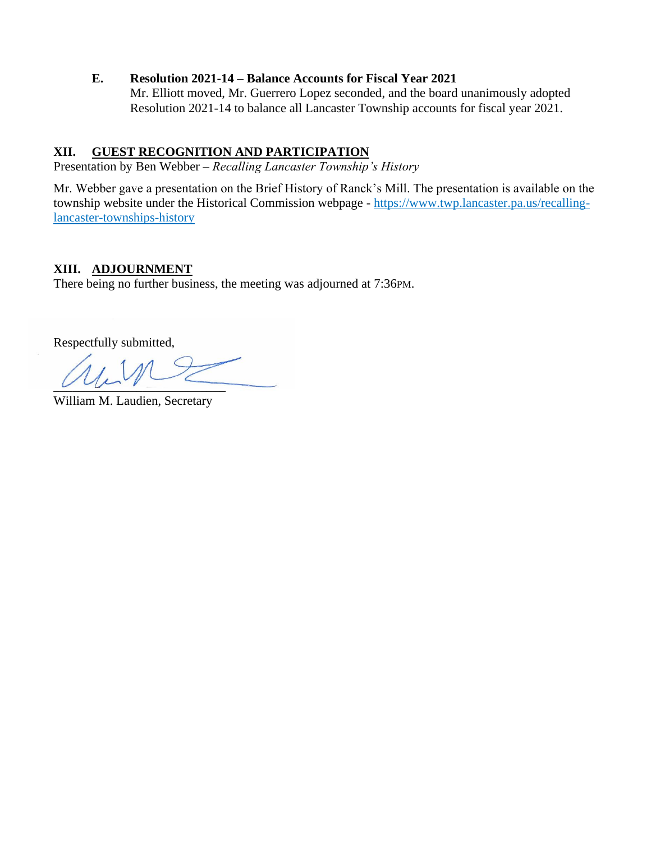#### **E. Resolution 2021-14 – Balance Accounts for Fiscal Year 2021**

Mr. Elliott moved, Mr. Guerrero Lopez seconded, and the board unanimously adopted Resolution 2021-14 to balance all Lancaster Township accounts for fiscal year 2021.

## **XII. GUEST RECOGNITION AND PARTICIPATION**

Presentation by Ben Webber – *Recalling Lancaster Township's History*

Mr. Webber gave a presentation on the Brief History of Ranck's Mill. The presentation is available on the township website under the Historical Commission webpage - [https://www.twp.lancaster.pa.us/recalling](https://www.twp.lancaster.pa.us/recalling-lancaster-townships-history)[lancaster-townships-history](https://www.twp.lancaster.pa.us/recalling-lancaster-townships-history)

#### **XIII. ADJOURNMENT**

There being no further business, the meeting was adjourned at 7:36PM.

Respectfully submitted,

 $u \cup \cup$ 

William M. Laudien, Secretary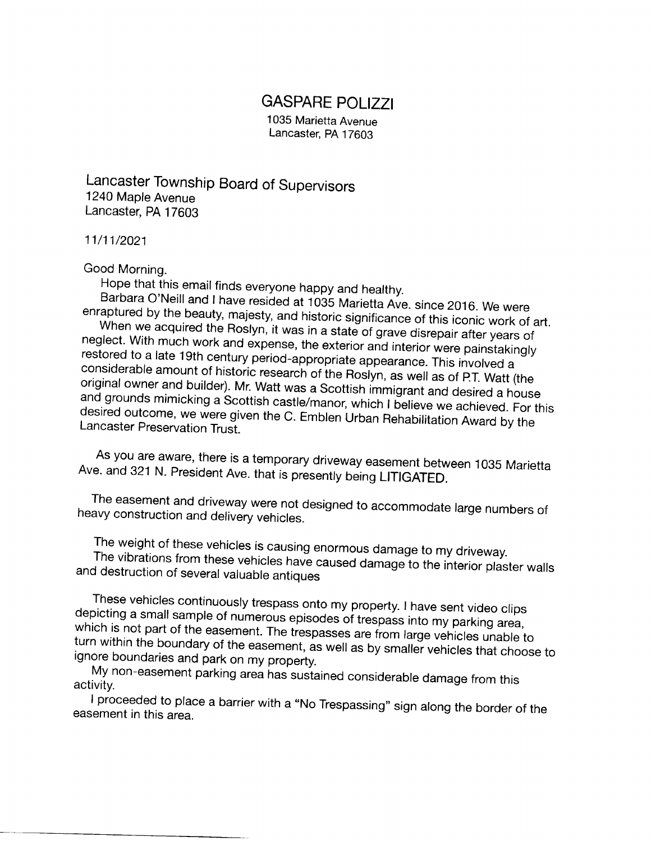# GASPARE POLIZZI

1035 Marietta Avenue Lancaster, PA 17603

Lancaster Township Board of Supervisors 1240 Maple Avenue Lancaster, pA 17603

11/11/2021

Good Morning.<br>Hope that this email finds everyone happy and healthy.

Barbara O'Neill and I have resided at 1035 Marietta Ave. since 2016. We were enraptured by the beauty, majesty, and historic significance of this iconic work of art. When we acquired the Roslyn, it was in a state of grave disrepair after years of neglect. With much work and expense, the exterior and interior were painstakingly restored to a late 19th century period-appropriate appearance. This involved a<br>considerable amount of historic research of the Roslyn, as well as of P.T. Watt (the<br>original owner and builder). Mr. Watt was a Scottish immig desired outcome, we were given the C. Emblen Urban Rehabilitation Award by the Lancaster Preservation Trust

As you are aware, there is a temporary driveway easement between 1035 Marietta Ave. and 321 N. President Ave. that is presently being LITIGATED.

The easement and driveway were not designed to accommodate large numbers of heavy construction and delivery vehicles.

The weight of these vehicles is causing enormous damage to my driveway. and destruction of several valuable antiques The vibrations from these vehicles have caused damage to the interior plaster walls

These vehicles continuously trespass onto my property. I have sent video clips which is not part of the easement. The trespasses are from large vehicles unable to<br>turn within the boundary of the economiation is all from large vehicles unable to depicting a small sample of numerous episodes of trespass into my parking area, turn within the boundary of the easement, as well as by smaller vehicles that choose to<br>ignore boundaries and park on my property. ignore boundaries and park on my property.

My non-easement parking area has sustained considerable damage from this activity.

I proceeded to place a barrier with a "No Trespassing" sign along the border of the easement in this area.